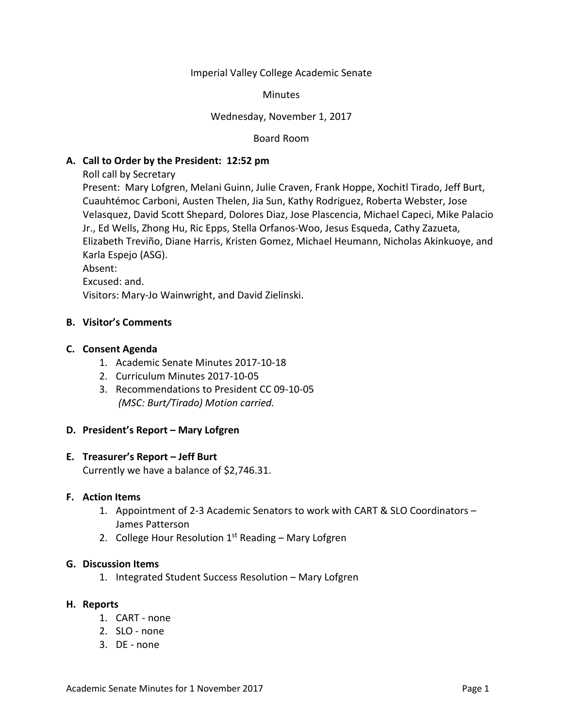### Imperial Valley College Academic Senate

### **Minutes**

# Wednesday, November 1, 2017

Board Room

# **A. Call to Order by the President: 12:52 pm**

Roll call by Secretary

Present: Mary Lofgren, Melani Guinn, Julie Craven, Frank Hoppe, Xochitl Tirado, Jeff Burt, Cuauhtémoc Carboni, Austen Thelen, Jia Sun, Kathy Rodriguez, Roberta Webster, Jose Velasquez, David Scott Shepard, Dolores Diaz, Jose Plascencia, Michael Capeci, Mike Palacio Jr., Ed Wells, Zhong Hu, Ric Epps, Stella Orfanos-Woo, Jesus Esqueda, Cathy Zazueta, Elizabeth Treviño, Diane Harris, Kristen Gomez, Michael Heumann, Nicholas Akinkuoye, and Karla Espejo (ASG).

Absent:

Excused: and.

Visitors: Mary-Jo Wainwright, and David Zielinski.

### **B. Visitor's Comments**

### **C. Consent Agenda**

- 1. Academic Senate Minutes 2017-10-18
- 2. Curriculum Minutes 2017-10-05
- 3. Recommendations to President CC 09-10-05 *(MSC: Burt/Tirado) Motion carried.*

# **D. President's Report – Mary Lofgren**

# **E. Treasurer's Report – Jeff Burt**

Currently we have a balance of \$2,746.31.

#### **F. Action Items**

- 1. Appointment of 2-3 Academic Senators to work with CART & SLO Coordinators James Patterson
- 2. College Hour Resolution  $1<sup>st</sup>$  Reading Mary Lofgren

### **G. Discussion Items**

1. Integrated Student Success Resolution – Mary Lofgren

#### **H. Reports**

- 1. CART none
- 2. SLO none
- 3. DE none